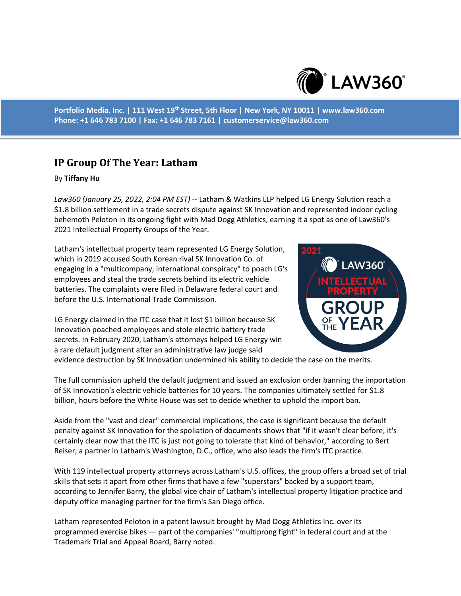

**Portfolio Media. Inc. | 111 West 19th Street, 5th Floor | New York, NY 10011 | www.law360.com Phone: +1 646 783 7100 | Fax: +1 646 783 7161 | customerservice@law360.com**

## **IP Group Of The Year: Latham**

## By **Tiffany Hu**

*Law360 (January 25, 2022, 2:04 PM EST)* -- Latham & Watkins LLP helped LG Energy Solution reach a \$1.8 billion settlement in a trade secrets dispute against SK Innovation and represented indoor cycling behemoth Peloton in its ongoing fight with Mad Dogg Athletics, earning it a spot as one of Law360's 2021 Intellectual Property Groups of the Year.

Latham's intellectual property team represented LG Energy Solution, which in 2019 accused South Korean rival SK Innovation Co. of engaging in a "multicompany, international conspiracy" to poach LG's employees and steal the trade secrets behind its electric vehicle batteries. The complaints were filed in Delaware federal court and before the U.S. International Trade Commission.

LG Energy claimed in the ITC case that it lost \$1 billion because SK Innovation poached employees and stole electric battery trade secrets. In February 2020, Latham's attorneys helped LG Energy win a rare default judgment after an administrative law judge said



evidence destruction by SK Innovation undermined his ability to decide the case on the merits.

The full commission upheld the default judgment and issued an exclusion order banning the importation of SK Innovation's electric vehicle batteries for 10 years. The companies ultimately settled for \$1.8 billion, hours before the White House was set to decide whether to uphold the import ban.

Aside from the "vast and clear" commercial implications, the case is significant because the default penalty against SK Innovation for the spoliation of documents shows that "if it wasn't clear before, it's certainly clear now that the ITC is just not going to tolerate that kind of behavior," according to Bert Reiser, a partner in Latham's Washington, D.C., office, who also leads the firm's ITC practice.

With 119 intellectual property attorneys across Latham's U.S. offices, the group offers a broad set of trial skills that sets it apart from other firms that have a few "superstars" backed by a support team, according to Jennifer Barry, the global vice chair of Latham's intellectual property litigation practice and deputy office managing partner for the firm's San Diego office.

Latham represented Peloton in a patent lawsuit brought by Mad Dogg Athletics Inc. over its programmed exercise bikes — part of the companies' "multiprong fight" in federal court and at the Trademark Trial and Appeal Board, Barry noted.